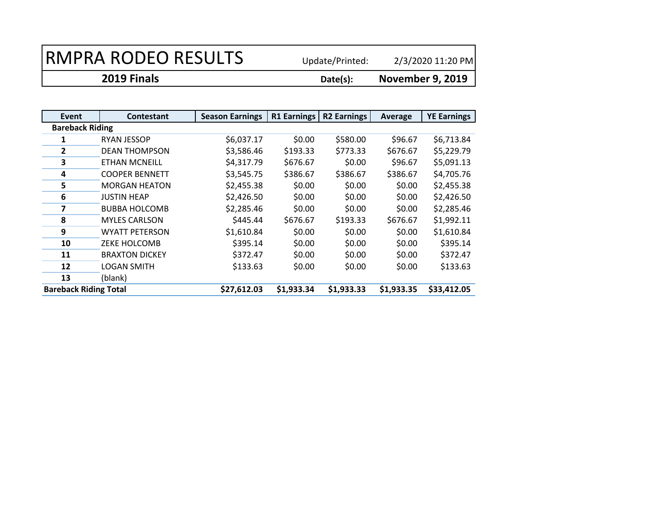2/3/2020 11:20 PM

**2019 Finals Date(s):**

| Event                        | <b>Contestant</b>     | <b>Season Earnings</b> | R1 Earnings | <b>R2 Earnings</b> | Average    | <b>YE Earnings</b> |
|------------------------------|-----------------------|------------------------|-------------|--------------------|------------|--------------------|
| <b>Bareback Riding</b>       |                       |                        |             |                    |            |                    |
| 1                            | <b>RYAN JESSOP</b>    | \$6,037.17             | \$0.00      | \$580.00           | \$96.67    | \$6,713.84         |
| $\overline{2}$               | <b>DEAN THOMPSON</b>  | \$3,586.46             | \$193.33    | \$773.33           | \$676.67   | \$5,229.79         |
| 3                            | <b>ETHAN MCNEILL</b>  | \$4,317.79             | \$676.67    | \$0.00             | \$96.67    | \$5,091.13         |
| 4                            | <b>COOPER BENNETT</b> | \$3,545.75             | \$386.67    | \$386.67           | \$386.67   | \$4,705.76         |
| 5                            | <b>MORGAN HEATON</b>  | \$2,455.38             | \$0.00      | \$0.00             | \$0.00     | \$2,455.38         |
| 6                            | <b>JUSTIN HEAP</b>    | \$2,426.50             | \$0.00      | \$0.00             | \$0.00     | \$2,426.50         |
|                              | <b>BUBBA HOLCOMB</b>  | \$2,285.46             | \$0.00      | \$0.00             | \$0.00     | \$2,285.46         |
| 8                            | <b>MYLES CARLSON</b>  | \$445.44               | \$676.67    | \$193.33           | \$676.67   | \$1,992.11         |
| 9                            | WYATT PETERSON        | \$1,610.84             | \$0.00      | \$0.00             | \$0.00     | \$1,610.84         |
| 10                           | <b>ZEKE HOLCOMB</b>   | \$395.14               | \$0.00      | \$0.00             | \$0.00     | \$395.14           |
| 11                           | <b>BRAXTON DICKEY</b> | \$372.47               | \$0.00      | \$0.00             | \$0.00     | \$372.47           |
| 12                           | <b>LOGAN SMITH</b>    | \$133.63               | \$0.00      | \$0.00             | \$0.00     | \$133.63           |
| 13                           | (blank)               |                        |             |                    |            |                    |
| <b>Bareback Riding Total</b> |                       | \$27,612.03            | \$1,933.34  | \$1,933.33         | \$1,933.35 | \$33,412.05        |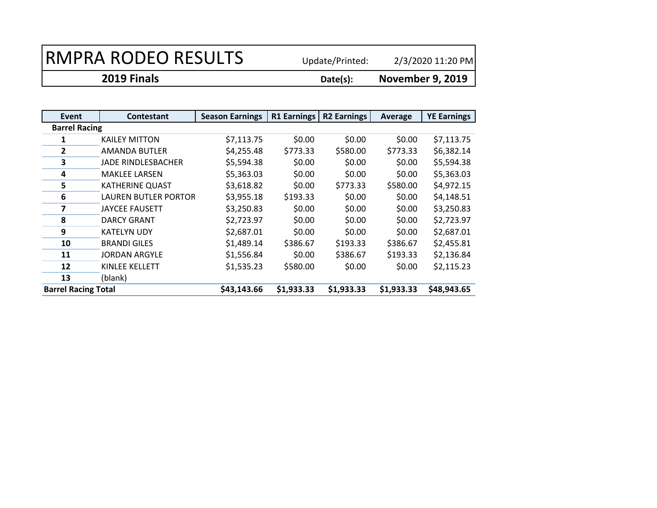2/3/2020 11:20 PM

**2019 Finals Date(s): November 9, 2019**

| Event                      | <b>Contestant</b>      | <b>Season Earnings</b> | R1 Earnings | <b>R2 Earnings</b> | Average    | <b>YE Earnings</b> |
|----------------------------|------------------------|------------------------|-------------|--------------------|------------|--------------------|
| <b>Barrel Racing</b>       |                        |                        |             |                    |            |                    |
|                            | <b>KAILEY MITTON</b>   | \$7,113.75             | \$0.00      | \$0.00             | \$0.00     | \$7,113.75         |
| $\overline{2}$             | AMANDA BUTLER          | \$4,255.48             | \$773.33    | \$580.00           | \$773.33   | \$6,382.14         |
| 3                          | JADE RINDLESBACHER     | \$5,594.38             | \$0.00      | \$0.00             | \$0.00     | \$5,594.38         |
| 4                          | <b>MAKLEE LARSEN</b>   | \$5,363.03             | \$0.00      | \$0.00             | \$0.00     | \$5,363.03         |
| 5                          | <b>KATHERINE QUAST</b> | \$3,618.82             | \$0.00      | \$773.33           | \$580.00   | \$4,972.15         |
| 6                          | LAUREN BUTLER PORTOR   | \$3,955.18             | \$193.33    | \$0.00             | \$0.00     | \$4,148.51         |
| 7                          | <b>JAYCEE FAUSETT</b>  | \$3,250.83             | \$0.00      | \$0.00             | \$0.00     | \$3,250.83         |
| 8                          | <b>DARCY GRANT</b>     | \$2,723.97             | \$0.00      | \$0.00             | \$0.00     | \$2,723.97         |
| 9                          | <b>KATELYN UDY</b>     | \$2,687.01             | \$0.00      | \$0.00             | \$0.00     | \$2,687.01         |
| 10                         | <b>BRANDI GILES</b>    | \$1,489.14             | \$386.67    | \$193.33           | \$386.67   | \$2,455.81         |
| 11                         | <b>JORDAN ARGYLE</b>   | \$1,556.84             | \$0.00      | \$386.67           | \$193.33   | \$2,136.84         |
| 12                         | KINLEE KELLETT         | \$1,535.23             | \$580.00    | \$0.00             | \$0.00     | \$2,115.23         |
| 13                         | (blank)                |                        |             |                    |            |                    |
| <b>Barrel Racing Total</b> |                        | \$43,143.66            | \$1,933.33  | \$1,933.33         | \$1,933.33 | \$48,943.65        |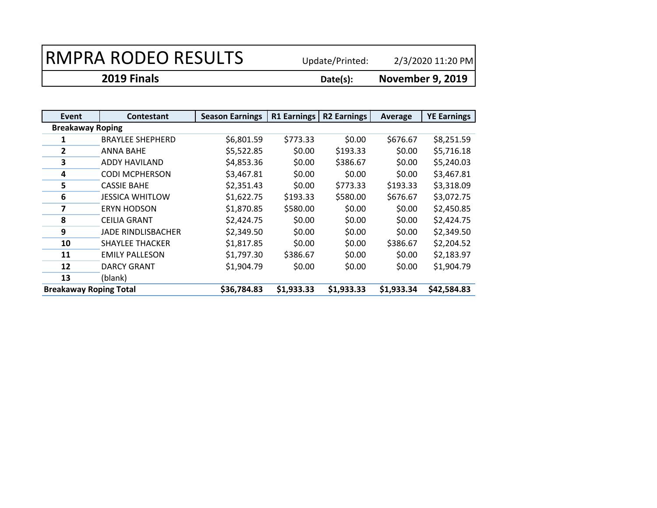2/3/2020 11:20 PM

**2019 Finals Date(s):**

| Event                         | <b>Contestant</b>         | <b>Season Earnings</b> | <b>R1 Earnings</b> | <b>R2 Earnings</b> | Average    | <b>YE Earnings</b> |
|-------------------------------|---------------------------|------------------------|--------------------|--------------------|------------|--------------------|
| <b>Breakaway Roping</b>       |                           |                        |                    |                    |            |                    |
|                               | <b>BRAYLEE SHEPHERD</b>   | \$6,801.59             | \$773.33           | \$0.00             | \$676.67   | \$8,251.59         |
| $\overline{2}$                | ANNA BAHE                 | \$5,522.85             | \$0.00             | \$193.33           | \$0.00     | \$5,716.18         |
| 3                             | ADDY HAVILAND             | \$4,853.36             | \$0.00             | \$386.67           | \$0.00     | \$5,240.03         |
| 4                             | <b>CODI MCPHERSON</b>     | \$3,467.81             | \$0.00             | \$0.00             | \$0.00     | \$3,467.81         |
| 5                             | <b>CASSIE BAHE</b>        | \$2,351.43             | \$0.00             | \$773.33           | \$193.33   | \$3,318.09         |
| 6                             | <b>JESSICA WHITLOW</b>    | \$1,622.75             | \$193.33           | \$580.00           | \$676.67   | \$3,072.75         |
| 7                             | <b>ERYN HODSON</b>        | \$1,870.85             | \$580.00           | \$0.00             | \$0.00     | \$2,450.85         |
| 8                             | <b>CEILIA GRANT</b>       | \$2,424.75             | \$0.00             | \$0.00             | \$0.00     | \$2,424.75         |
| 9                             | <b>JADE RINDLISBACHER</b> | \$2,349.50             | \$0.00             | \$0.00             | \$0.00     | \$2,349.50         |
| 10                            | <b>SHAYLEE THACKER</b>    | \$1,817.85             | \$0.00             | \$0.00             | \$386.67   | \$2,204.52         |
| 11                            | <b>EMILY PALLESON</b>     | \$1,797.30             | \$386.67           | \$0.00             | \$0.00     | \$2,183.97         |
| 12                            | <b>DARCY GRANT</b>        | \$1,904.79             | \$0.00             | \$0.00             | \$0.00     | \$1,904.79         |
| 13                            | (blank)                   |                        |                    |                    |            |                    |
| <b>Breakaway Roping Total</b> |                           | \$36,784.83            | \$1,933.33         | \$1,933.33         | \$1,933.34 | \$42,584.83        |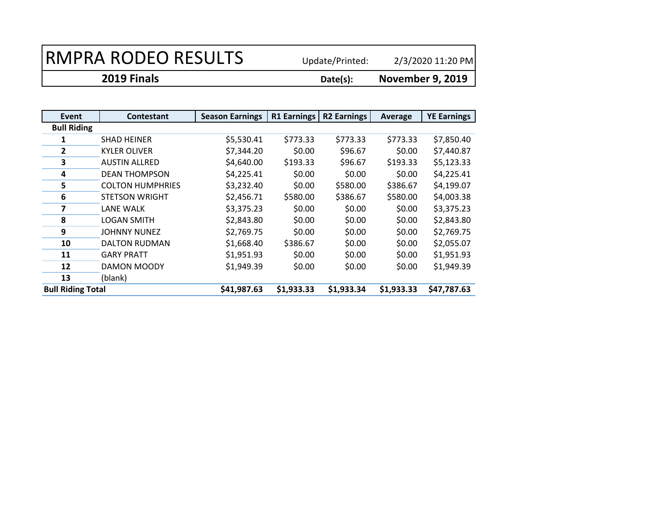2/3/2020 11:20 PM

**2019 Finals Date(s): November 9, 2019**

| Event                    | <b>Contestant</b>       | <b>Season Earnings</b> | <b>R1 Earnings</b> | <b>R2 Earnings</b> | Average    | <b>YE Earnings</b> |
|--------------------------|-------------------------|------------------------|--------------------|--------------------|------------|--------------------|
| <b>Bull Riding</b>       |                         |                        |                    |                    |            |                    |
|                          | <b>SHAD HEINER</b>      | \$5,530.41             | \$773.33           | \$773.33           | \$773.33   | \$7,850.40         |
| $\overline{2}$           | <b>KYLER OLIVER</b>     | \$7,344.20             | \$0.00             | \$96.67            | \$0.00     | \$7,440.87         |
| 3                        | <b>AUSTIN ALLRED</b>    | \$4,640.00             | \$193.33           | \$96.67            | \$193.33   | \$5,123.33         |
| 4                        | <b>DEAN THOMPSON</b>    | \$4,225.41             | \$0.00             | \$0.00             | \$0.00     | \$4,225.41         |
| 5                        | <b>COLTON HUMPHRIES</b> | \$3,232.40             | \$0.00             | \$580.00           | \$386.67   | \$4,199.07         |
| 6                        | <b>STETSON WRIGHT</b>   | \$2,456.71             | \$580.00           | \$386.67           | \$580.00   | \$4,003.38         |
| 7                        | LANE WALK               | \$3,375.23             | \$0.00             | \$0.00             | \$0.00     | \$3,375.23         |
| 8                        | <b>LOGAN SMITH</b>      | \$2,843.80             | \$0.00             | \$0.00             | \$0.00     | \$2,843.80         |
| 9                        | <b>JOHNNY NUNEZ</b>     | \$2,769.75             | \$0.00             | \$0.00             | \$0.00     | \$2,769.75         |
| 10                       | <b>DALTON RUDMAN</b>    | \$1,668.40             | \$386.67           | \$0.00             | \$0.00     | \$2,055.07         |
| 11                       | <b>GARY PRATT</b>       | \$1,951.93             | \$0.00             | \$0.00             | \$0.00     | \$1,951.93         |
| 12                       | DAMON MOODY             | \$1,949.39             | \$0.00             | \$0.00             | \$0.00     | \$1,949.39         |
| 13                       | (blank)                 |                        |                    |                    |            |                    |
| <b>Bull Riding Total</b> |                         | \$41,987.63            | \$1,933.33         | \$1,933.34         | \$1,933.33 | \$47,787.63        |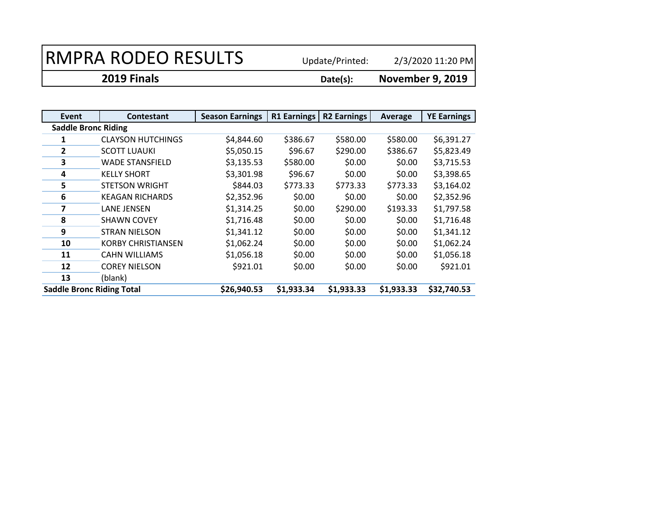2/3/2020 11:20 PM

**2019 Finals Date(s): November 9, 2019**

| Event                            | <b>Contestant</b>         | <b>Season Earnings</b> | <b>R1 Earnings</b> | <b>R2 Earnings</b> | Average    | <b>YE Earnings</b> |  |  |
|----------------------------------|---------------------------|------------------------|--------------------|--------------------|------------|--------------------|--|--|
| <b>Saddle Bronc Riding</b>       |                           |                        |                    |                    |            |                    |  |  |
|                                  | <b>CLAYSON HUTCHINGS</b>  | \$4,844.60             | \$386.67           | \$580.00           | \$580.00   | \$6,391.27         |  |  |
| $\overline{2}$                   | <b>SCOTT LUAUKI</b>       | \$5,050.15             | \$96.67            | \$290.00           | \$386.67   | \$5,823.49         |  |  |
| 3                                | <b>WADE STANSFIELD</b>    | \$3,135.53             | \$580.00           | \$0.00             | \$0.00     | \$3,715.53         |  |  |
| 4                                | <b>KELLY SHORT</b>        | \$3,301.98             | \$96.67            | \$0.00             | \$0.00     | \$3,398.65         |  |  |
| 5                                | <b>STETSON WRIGHT</b>     | \$844.03               | \$773.33           | \$773.33           | \$773.33   | \$3,164.02         |  |  |
| 6                                | <b>KEAGAN RICHARDS</b>    | \$2,352.96             | \$0.00             | \$0.00             | \$0.00     | \$2,352.96         |  |  |
| 7                                | <b>LANE JENSEN</b>        | \$1,314.25             | \$0.00             | \$290.00           | \$193.33   | \$1,797.58         |  |  |
| 8                                | <b>SHAWN COVEY</b>        | \$1,716.48             | \$0.00             | \$0.00             | \$0.00     | \$1,716.48         |  |  |
| 9                                | <b>STRAN NIELSON</b>      | \$1,341.12             | \$0.00             | \$0.00             | \$0.00     | \$1,341.12         |  |  |
| 10                               | <b>KORBY CHRISTIANSEN</b> | \$1,062.24             | \$0.00             | \$0.00             | \$0.00     | \$1,062.24         |  |  |
| 11                               | <b>CAHN WILLIAMS</b>      | \$1,056.18             | \$0.00             | \$0.00             | \$0.00     | \$1,056.18         |  |  |
| 12                               | <b>COREY NIELSON</b>      | \$921.01               | \$0.00             | \$0.00             | \$0.00     | \$921.01           |  |  |
| 13                               | (blank)                   |                        |                    |                    |            |                    |  |  |
| <b>Saddle Bronc Riding Total</b> |                           | \$26,940.53            | \$1,933.34         | \$1,933.33         | \$1,933.33 | \$32,740.53        |  |  |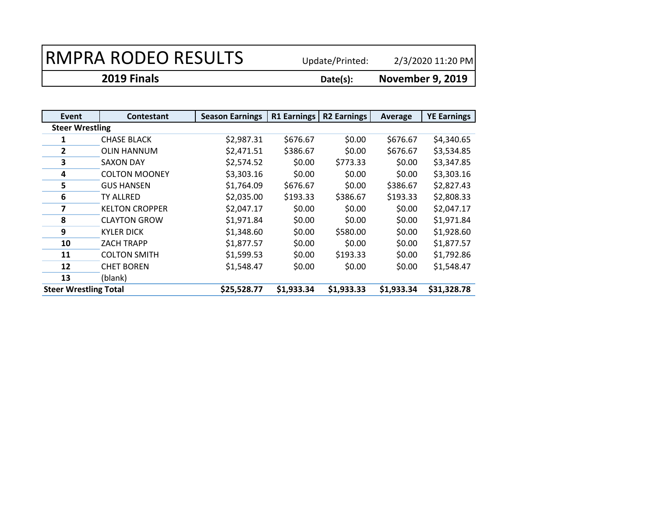2/3/2020 11:20 PM

**2019 Finals Date(s):**

| Event                        | <b>Contestant</b>     | <b>Season Earnings</b> | R1 Earnings | <b>R2 Earnings</b> | Average    | <b>YE Earnings</b> |
|------------------------------|-----------------------|------------------------|-------------|--------------------|------------|--------------------|
| <b>Steer Wrestling</b>       |                       |                        |             |                    |            |                    |
|                              | <b>CHASE BLACK</b>    | \$2,987.31             | \$676.67    | \$0.00             | \$676.67   | \$4,340.65         |
| 2                            | <b>OLIN HANNUM</b>    | \$2,471.51             | \$386.67    | \$0.00             | \$676.67   | \$3,534.85         |
| 3                            | <b>SAXON DAY</b>      | \$2,574.52             | \$0.00      | \$773.33           | \$0.00     | \$3,347.85         |
| 4                            | <b>COLTON MOONEY</b>  | \$3,303.16             | \$0.00      | \$0.00             | \$0.00     | \$3,303.16         |
| 5                            | <b>GUS HANSEN</b>     | \$1,764.09             | \$676.67    | \$0.00             | \$386.67   | \$2,827.43         |
| 6                            | TY ALLRED             | \$2,035.00             | \$193.33    | \$386.67           | \$193.33   | \$2,808.33         |
|                              | <b>KELTON CROPPER</b> | \$2,047.17             | \$0.00      | \$0.00             | \$0.00     | \$2,047.17         |
| 8                            | <b>CLAYTON GROW</b>   | \$1,971.84             | \$0.00      | \$0.00             | \$0.00     | \$1,971.84         |
| 9                            | KYLER DICK            | \$1,348.60             | \$0.00      | \$580.00           | \$0.00     | \$1,928.60         |
| 10                           | <b>ZACH TRAPP</b>     | \$1,877.57             | \$0.00      | \$0.00             | \$0.00     | \$1,877.57         |
| 11                           | <b>COLTON SMITH</b>   | \$1,599.53             | \$0.00      | \$193.33           | \$0.00     | \$1,792.86         |
| 12                           | <b>CHET BOREN</b>     | \$1,548.47             | \$0.00      | \$0.00             | \$0.00     | \$1,548.47         |
| 13                           | (blank)               |                        |             |                    |            |                    |
| <b>Steer Wrestling Total</b> |                       | \$25,528.77            | \$1,933.34  | \$1,933.33         | \$1,933.34 | \$31,328.78        |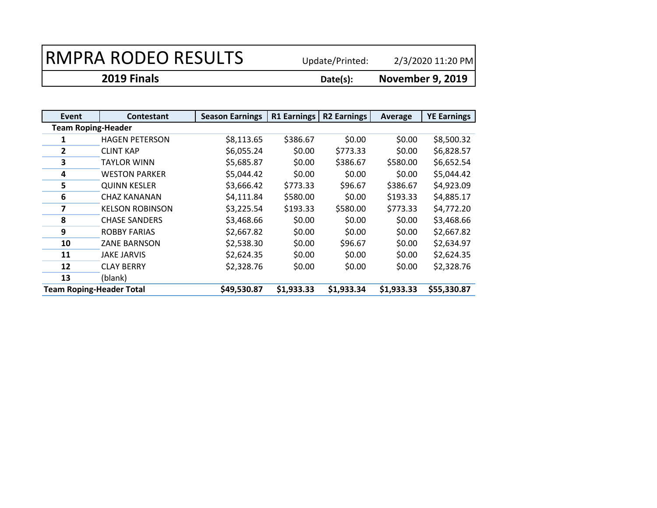2/3/2020 11:20 PM

**2019 Finals Date(s):**

| Event                           | <b>Contestant</b>      | <b>Season Earnings</b> | R1 Earnings | <b>R2 Earnings</b> | Average    | <b>YE Earnings</b> |  |
|---------------------------------|------------------------|------------------------|-------------|--------------------|------------|--------------------|--|
| <b>Team Roping-Header</b>       |                        |                        |             |                    |            |                    |  |
|                                 | <b>HAGEN PETERSON</b>  | \$8,113.65             | \$386.67    | \$0.00             | \$0.00     | \$8,500.32         |  |
| 2                               | <b>CLINT KAP</b>       | \$6,055.24             | \$0.00      | \$773.33           | \$0.00     | \$6,828.57         |  |
| 3                               | <b>TAYLOR WINN</b>     | \$5,685.87             | \$0.00      | \$386.67           | \$580.00   | \$6,652.54         |  |
| 4                               | <b>WESTON PARKER</b>   | \$5,044.42             | \$0.00      | \$0.00             | \$0.00     | \$5,044.42         |  |
| 5                               | <b>QUINN KESLER</b>    | \$3,666.42             | \$773.33    | \$96.67            | \$386.67   | \$4,923.09         |  |
| 6                               | <b>CHAZ KANANAN</b>    | \$4,111.84             | \$580.00    | \$0.00             | \$193.33   | \$4,885.17         |  |
| 7                               | <b>KELSON ROBINSON</b> | \$3,225.54             | \$193.33    | \$580.00           | \$773.33   | \$4,772.20         |  |
| 8                               | <b>CHASE SANDERS</b>   | \$3,468.66             | \$0.00      | \$0.00             | \$0.00     | \$3,468.66         |  |
| 9                               | <b>ROBBY FARIAS</b>    | \$2,667.82             | \$0.00      | \$0.00             | \$0.00     | \$2,667.82         |  |
| 10                              | <b>ZANE BARNSON</b>    | \$2,538.30             | \$0.00      | \$96.67            | \$0.00     | \$2,634.97         |  |
| 11                              | <b>JAKE JARVIS</b>     | \$2,624.35             | \$0.00      | \$0.00             | \$0.00     | \$2,624.35         |  |
| 12                              | <b>CLAY BERRY</b>      | \$2,328.76             | \$0.00      | \$0.00             | \$0.00     | \$2,328.76         |  |
| 13                              | (blank)                |                        |             |                    |            |                    |  |
| <b>Team Roping-Header Total</b> |                        | \$49,530.87            | \$1,933.33  | \$1,933.34         | \$1,933.33 | \$55,330.87        |  |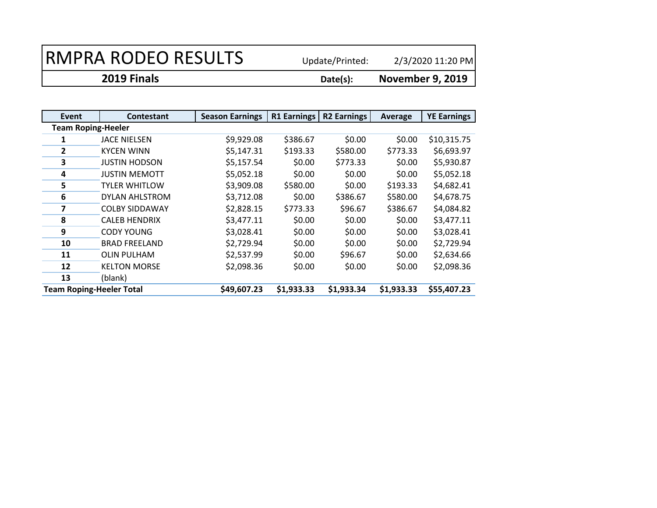2/3/2020 11:20 PM

**2019 Finals Date(s):**

| Event                           | <b>Contestant</b>     | <b>Season Earnings</b> | <b>R1 Earnings</b> | <b>R2 Earnings</b> | Average    | <b>YE Earnings</b> |  |  |
|---------------------------------|-----------------------|------------------------|--------------------|--------------------|------------|--------------------|--|--|
| <b>Team Roping-Heeler</b>       |                       |                        |                    |                    |            |                    |  |  |
| 1                               | <b>JACE NIELSEN</b>   | \$9,929.08             | \$386.67           | \$0.00             | \$0.00     | \$10,315.75        |  |  |
| $\overline{2}$                  | <b>KYCEN WINN</b>     | \$5,147.31             | \$193.33           | \$580.00           | \$773.33   | \$6,693.97         |  |  |
| 3                               | <b>JUSTIN HODSON</b>  | \$5,157.54             | \$0.00             | \$773.33           | \$0.00     | \$5,930.87         |  |  |
| 4                               | <b>JUSTIN MEMOTT</b>  | \$5,052.18             | \$0.00             | \$0.00             | \$0.00     | \$5,052.18         |  |  |
| 5                               | <b>TYLER WHITLOW</b>  | \$3,909.08             | \$580.00           | \$0.00             | \$193.33   | \$4,682.41         |  |  |
| 6                               | DYLAN AHLSTROM        | \$3,712.08             | \$0.00             | \$386.67           | \$580.00   | \$4,678.75         |  |  |
| 7                               | <b>COLBY SIDDAWAY</b> | \$2,828.15             | \$773.33           | \$96.67            | \$386.67   | \$4,084.82         |  |  |
| 8                               | <b>CALEB HENDRIX</b>  | \$3,477.11             | \$0.00             | \$0.00             | \$0.00     | \$3,477.11         |  |  |
| 9                               | <b>CODY YOUNG</b>     | \$3,028.41             | \$0.00             | \$0.00             | \$0.00     | \$3,028.41         |  |  |
| 10                              | <b>BRAD FREELAND</b>  | \$2,729.94             | \$0.00             | \$0.00             | \$0.00     | \$2,729.94         |  |  |
| 11                              | <b>OLIN PULHAM</b>    | \$2,537.99             | \$0.00             | \$96.67            | \$0.00     | \$2,634.66         |  |  |
| 12                              | <b>KELTON MORSE</b>   | \$2,098.36             | \$0.00             | \$0.00             | \$0.00     | \$2,098.36         |  |  |
| 13                              | (blank)               |                        |                    |                    |            |                    |  |  |
| <b>Team Roping-Heeler Total</b> |                       | \$49,607.23            | \$1,933.33         | \$1,933.34         | \$1,933.33 | \$55,407.23        |  |  |